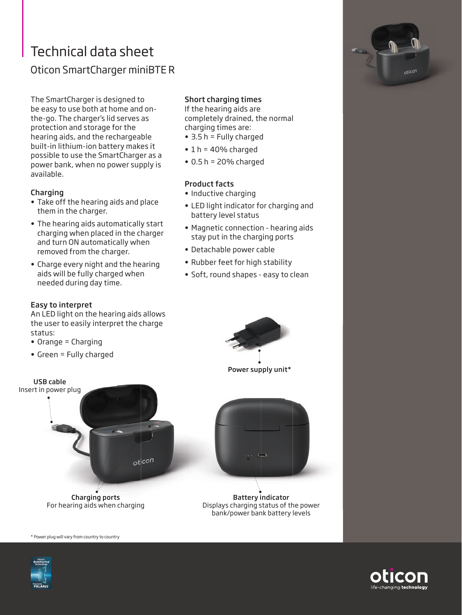# Technical data sheet Oticon SmartCharger miniBTE R

The SmartCharger is designed to be easy to use both at home and onthe-go. The charger's lid serves as protection and storage for the hearing aids, and the rechargeable built-in lithium-ion battery makes it possible to use the SmartCharger as a power bank, when no power supply is available.

#### **Charging**

- Take off the hearing aids and place them in the charger.
- The hearing aids automatically start charging when placed in the charger and turn ON automatically when removed from the charger.
- Charge every night and the hearing aids will be fully charged when needed during day time.

### Easy to interpret

An LED light on the hearing aids allows the user to easily interpret the charge status:

- Orange = Charging
- Green = Fully charged

## Short charging times

If the hearing aids are completely drained, the normal charging times are:

- 3.5 h = Fully charged
- $\cdot$  1 h = 40% charged
- $\bullet$  0.5 h = 20% charged

#### Product facts

- Inductive charging
- LED light indicator for charging and battery level status
- Magnetic connection hearing aids stay put in the charging ports
- Detachable power cable
- Rubber feet for high stability
- Soft, round shapes easy to clean



Power supply unit\*





Battery indicator Displays charging status of the power bank/power bank battery levels

\* Power plug will vary from country to country